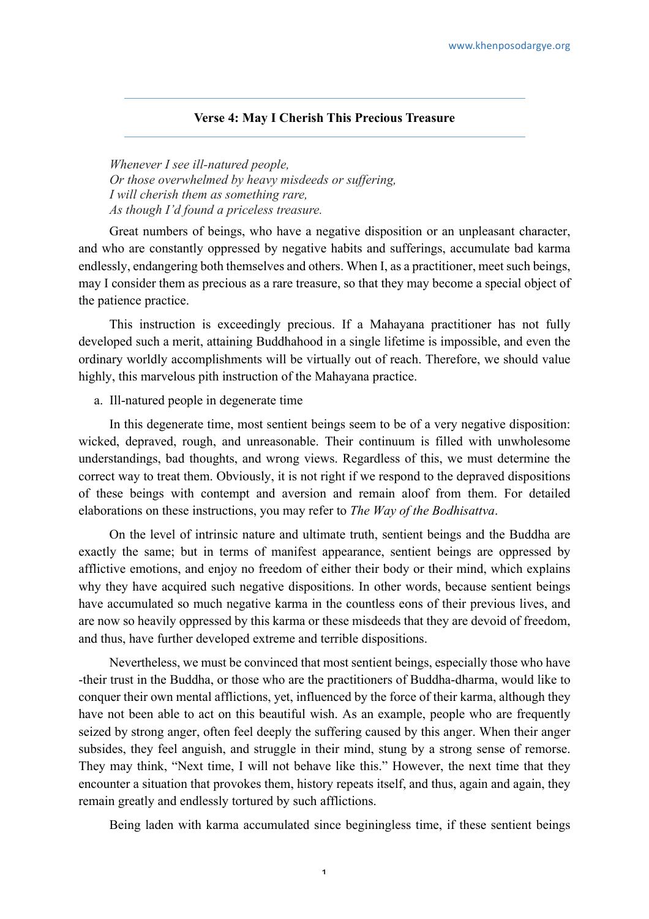## **Verse 4: May I Cherish This Precious Treasure**

*Whenever I see ill-natured people, Or those overwhelmed by heavy misdeeds or suffering, I will cherish them as something rare, As though I'd found a priceless treasure.*

Great numbers of beings, who have a negative disposition or an unpleasant character, and who are constantly oppressed by negative habits and sufferings, accumulate bad karma endlessly, endangering both themselves and others. When I, as a practitioner, meet such beings, may I consider them as precious as a rare treasure, so that they may become a special object of the patience practice.

This instruction is exceedingly precious. If a Mahayana practitioner has not fully developed such a merit, attaining Buddhahood in a single lifetime is impossible, and even the ordinary worldly accomplishments will be virtually out of reach. Therefore, we should value highly, this marvelous pith instruction of the Mahayana practice.

## a. Ill-natured people in degenerate time

In this degenerate time, most sentient beings seem to be of a very negative disposition: wicked, depraved, rough, and unreasonable. Their continuum is filled with unwholesome understandings, bad thoughts, and wrong views. Regardless of this, we must determine the correct way to treat them. Obviously, it is not right if we respond to the depraved dispositions of these beings with contempt and aversion and remain aloof from them. For detailed elaborations on these instructions, you may refer to *The Way of the Bodhisattva*.

On the level of intrinsic nature and ultimate truth, sentient beings and the Buddha are exactly the same; but in terms of manifest appearance, sentient beings are oppressed by afflictive emotions, and enjoy no freedom of either their body or their mind, which explains why they have acquired such negative dispositions. In other words, because sentient beings have accumulated so much negative karma in the countless eons of their previous lives, and are now so heavily oppressed by this karma or these misdeeds that they are devoid of freedom, and thus, have further developed extreme and terrible dispositions.

Nevertheless, we must be convinced that most sentient beings, especially those who have -their trust in the Buddha, or those who are the practitioners of Buddha-dharma, would like to conquer their own mental afflictions, yet, influenced by the force of their karma, although they have not been able to act on this beautiful wish. As an example, people who are frequently seized by strong anger, often feel deeply the suffering caused by this anger. When their anger subsides, they feel anguish, and struggle in their mind, stung by a strong sense of remorse. They may think, "Next time, I will not behave like this." However, the next time that they encounter a situation that provokes them, history repeats itself, and thus, again and again, they remain greatly and endlessly tortured by such afflictions.

Being laden with karma accumulated since beginingless time, if these sentient beings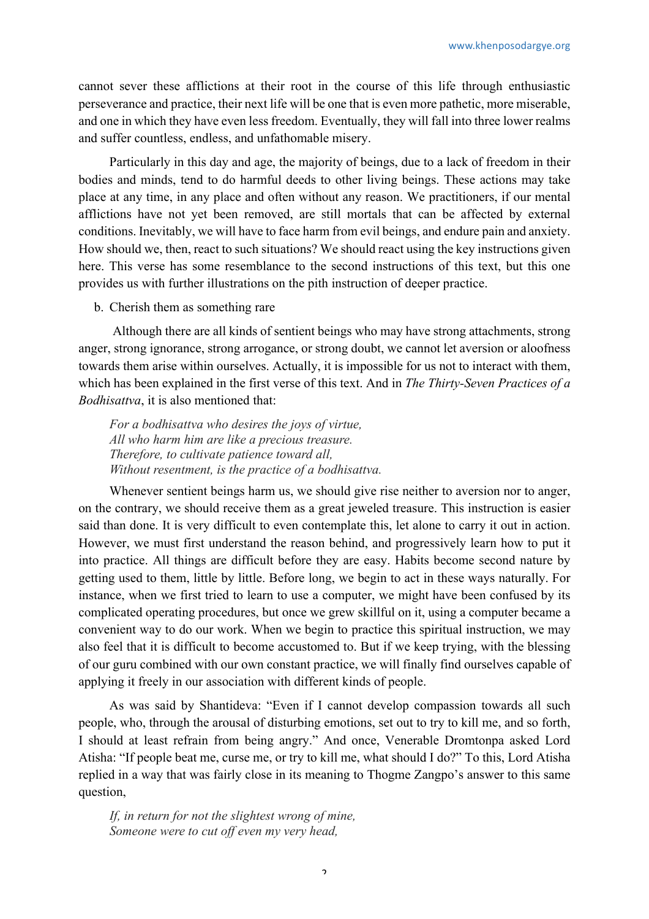cannot sever these afflictions at their root in the course of this life through enthusiastic perseverance and practice, their next life will be one that is even more pathetic, more miserable, and one in which they have even less freedom. Eventually, they will fall into three lower realms and suffer countless, endless, and unfathomable misery.

Particularly in this day and age, the majority of beings, due to a lack of freedom in their bodies and minds, tend to do harmful deeds to other living beings. These actions may take place at any time, in any place and often without any reason. We practitioners, if our mental afflictions have not yet been removed, are still mortals that can be affected by external conditions. Inevitably, we will have to face harm from evil beings, and endure pain and anxiety. How should we, then, react to such situations? We should react using the key instructions given here. This verse has some resemblance to the second instructions of this text, but this one provides us with further illustrations on the pith instruction of deeper practice.

## b. Cherish them as something rare

Although there are all kinds of sentient beings who may have strong attachments, strong anger, strong ignorance, strong arrogance, or strong doubt, we cannot let aversion or aloofness towards them arise within ourselves. Actually, it is impossible for us not to interact with them, which has been explained in the first verse of this text. And in *The Thirty-Seven Practices of a Bodhisattva*, it is also mentioned that:

*For a bodhisattva who desires the joys of virtue, All who harm him are like a precious treasure. Therefore, to cultivate patience toward all, Without resentment, is the practice of a bodhisattva.*

Whenever sentient beings harm us, we should give rise neither to aversion nor to anger, on the contrary, we should receive them as a great jeweled treasure. This instruction is easier said than done. It is very difficult to even contemplate this, let alone to carry it out in action. However, we must first understand the reason behind, and progressively learn how to put it into practice. All things are difficult before they are easy. Habits become second nature by getting used to them, little by little. Before long, we begin to act in these ways naturally. For instance, when we first tried to learn to use a computer, we might have been confused by its complicated operating procedures, but once we grew skillful on it, using a computer became a convenient way to do our work. When we begin to practice this spiritual instruction, we may also feel that it is difficult to become accustomed to. But if we keep trying, with the blessing of our guru combined with our own constant practice, we will finally find ourselves capable of applying it freely in our association with different kinds of people.

As was said by Shantideva: "Even if I cannot develop compassion towards all such people, who, through the arousal of disturbing emotions, set out to try to kill me, and so forth, I should at least refrain from being angry." And once, Venerable Dromtonpa asked Lord Atisha: "If people beat me, curse me, or try to kill me, what should I do?" To this, Lord Atisha replied in a way that was fairly close in its meaning to Thogme Zangpo's answer to this same question,

*If, in return for not the slightest wrong of mine, Someone were to cut off even my very head,*